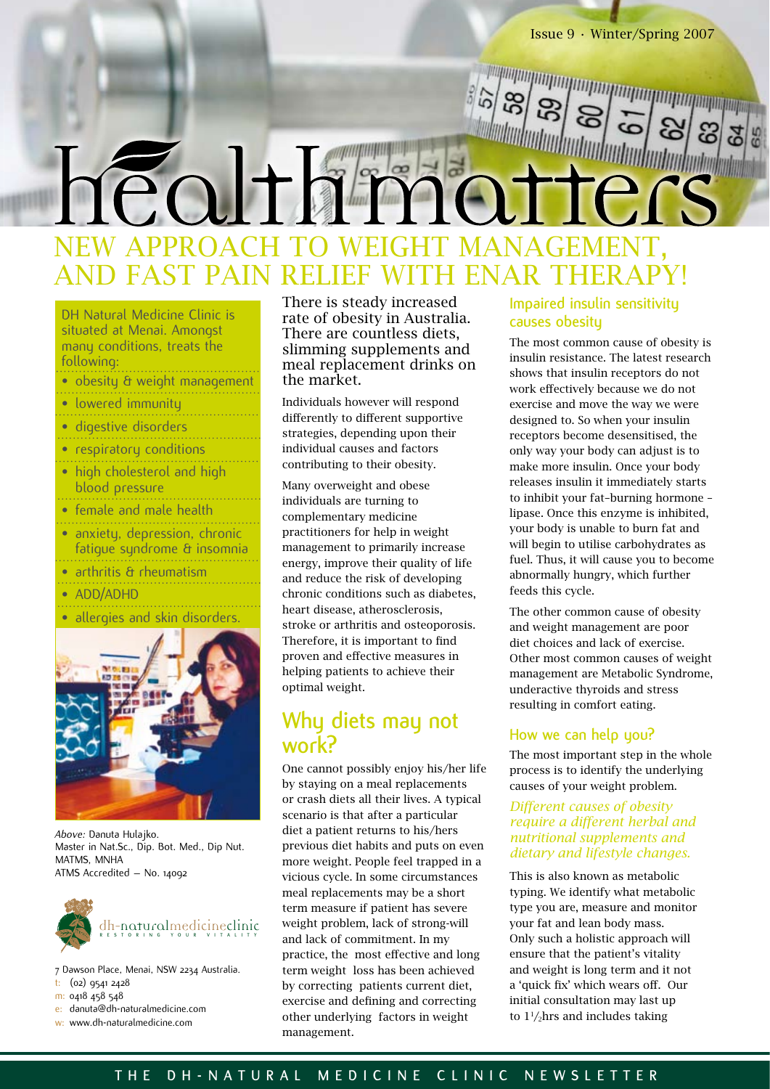Issue 9 • Winter/Spring 2007

# EW APPROACH TO WEIGH AND FAST PAIN RELIEF WITH ENAR THERAP

| <b>DH Natural Medicine Clinic is</b><br>situated at Menai. Amongst<br>many conditions, treats the<br>following: |
|-----------------------------------------------------------------------------------------------------------------|
| · obesity & weight management                                                                                   |
| · lowered immunity                                                                                              |
| · digestive disorders                                                                                           |
| respiratory conditions                                                                                          |
| • high cholesterol and high<br>blood pressure                                                                   |
| • female and male health                                                                                        |
| • anxiety, depression, chronic<br>fatique sundrome & insomnia                                                   |
| • arthritis & rheumatism                                                                                        |
| • ADD/ADHD                                                                                                      |
| allergies and skin disorders.                                                                                   |
|                                                                                                                 |



*Above:* Danuta Hulajko. Master in Nat.Sc., Dip. Bot. Med., Dip Nut. MATMS, MNHA ATMS Accredited – No. 14092



- 7 Dawson Place, Menai, NSW 2234 Australia.
- t: (02) 9541 2428
- m: 0418 458 548
- e: danuta@dh-naturalmedicine.com
- w: www.dh-naturalmedicine.com

There is steady increased rate of obesity in Australia. There are countless diets, slimming supplements and meal replacement drinks on the market.

Individuals however will respond differently to different supportive strategies, depending upon their individual causes and factors contributing to their obesity.

Many overweight and obese individuals are turning to complementary medicine practitioners for help in weight management to primarily increase energy, improve their quality of life and reduce the risk of developing chronic conditions such as diabetes, heart disease, atherosclerosis, stroke or arthritis and osteoporosis. Therefore, it is important to find proven and effective measures in helping patients to achieve their optimal weight.

## **Why diets may not work?**

One cannot possibly enjoy his/her life by staying on a meal replacements or crash diets all their lives. A typical scenario is that after a particular diet a patient returns to his/hers previous diet habits and puts on even more weight. People feel trapped in a vicious cycle. In some circumstances meal replacements may be a short term measure if patient has severe weight problem, lack of strong-will and lack of commitment. In my practice, the most effective and long term weight loss has been achieved by correcting patients current diet, exercise and defining and correcting other underlying factors in weight management.

#### **Impaired insulin sensitivity causes obesity**

The most common cause of obesity is insulin resistance. The latest research shows that insulin receptors do not work effectively because we do not exercise and move the way we were designed to. So when your insulin receptors become desensitised, the only way your body can adjust is to make more insulin. Once your body releases insulin it immediately starts to inhibit your fat–burning hormone – lipase. Once this enzyme is inhibited, your body is unable to burn fat and will begin to utilise carbohydrates as fuel. Thus, it will cause you to become abnormally hungry, which further feeds this cycle.

The other common cause of obesity and weight management are poor diet choices and lack of exercise. Other most common causes of weight management are Metabolic Syndrome, underactive thyroids and stress resulting in comfort eating.

#### **How we can help you?**

The most important step in the whole process is to identify the underlying causes of your weight problem.

#### *Different causes of obesity require a different herbal and nutritional supplements and dietary and lifestyle changes.*

This is also known as metabolic typing. We identify what metabolic type you are, measure and monitor your fat and lean body mass. Only such a holistic approach will ensure that the patient's vitality and weight is long term and it not a 'quick fix' which wears off. Our initial consultation may last up to  $1\frac{1}{2}$ hrs and includes taking

### **T H E D H - N A T U R A L M E D I C I N E C L I N I C N E W S L E T T E R**